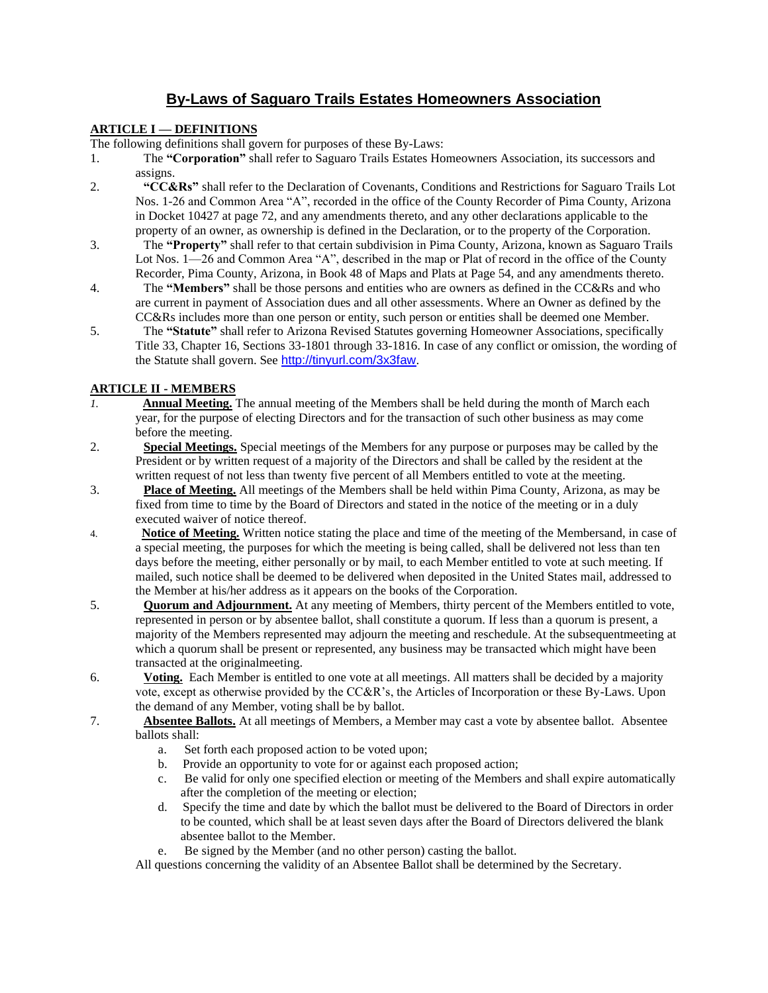# **By-Laws of Saguaro Trails Estates Homeowners Association**

## **ARTICLE I — DEFINITIONS**

The following definitions shall govern for purposes of these By-Laws:

- 1. The **"Corporation"** shall refer to Saguaro Trails Estates Homeowners Association, its successors and assigns.
- 2. **"CC&Rs"** shall refer to the Declaration of Covenants, Conditions and Restrictions for Saguaro Trails Lot Nos. 1-26 and Common Area "A", recorded in the office of the County Recorder of Pima County, Arizona in Docket 10427 at page 72, and any amendments thereto, and any other declarations applicable to the property of an owner, as ownership is defined in the Declaration, or to the property of the Corporation.
- 3. The **"Property"** shall refer to that certain subdivision in Pima County, Arizona, known as Saguaro Trails Lot Nos. 1—26 and Common Area "A", described in the map or Plat of record in the office of the County Recorder, Pima County, Arizona, in Book 48 of Maps and Plats at Page 54, and any amendments thereto.
- 4. The **"Members"** shall be those persons and entities who are owners as defined in the CC&Rs and who are current in payment of Association dues and all other assessments. Where an Owner as defined by the CC&Rs includes more than one person or entity, such person or entities shall be deemed one Member.
- 5. The **"Statute"** shall refer to Arizona Revised Statutes governing Homeowner Associations, specifically Title 33, Chapter 16, Sections 33-1801 through 33-1816. In case of any conflict or omission, the wording of the Statute shall govern. See <http://tinyurl.com/3x3faw>.

# **ARTICLE II - MEMBERS**

- *1.* **Annual Meeting.** The annual meeting of the Members shall be held during the month of March each year, for the purpose of electing Directors and for the transaction of such other business as may come before the meeting.
- 2. **Special Meetings.** Special meetings of the Members for any purpose or purposes may be called by the President or by written request of a majority of the Directors and shall be called by the resident at the written request of not less than twenty five percent of all Members entitled to vote at the meeting.
- 3. **Place of Meeting.** All meetings of the Members shall be held within Pima County, Arizona, as may be fixed from time to time by the Board of Directors and stated in the notice of the meeting or in a duly executed waiver of notice thereof.
- 4. **Notice of Meeting.** Written notice stating the place and time of the meeting of the Membersand, in case of a special meeting, the purposes for which the meeting is being called, shall be delivered not less than ten days before the meeting, either personally or by mail, to each Member entitled to vote at such meeting. If mailed, such notice shall be deemed to be delivered when deposited in the United States mail, addressed to the Member at his/her address as it appears on the books of the Corporation.
- 5. **Quorum and Adjournment.** At any meeting of Members, thirty percent of the Members entitled to vote, represented in person or by absentee ballot, shall constitute a quorum. If less than a quorum is present, a majority of the Members represented may adjourn the meeting and reschedule. At the subsequentmeeting at which a quorum shall be present or represented, any business may be transacted which might have been transacted at the originalmeeting.
- 6. **Voting.** Each Member is entitled to one vote at all meetings. All matters shall be decided by a majority vote, except as otherwise provided by the CC&R's, the Articles of Incorporation or these By-Laws. Upon the demand of any Member, voting shall be by ballot.
- 7. **Absentee Ballots.** At all meetings of Members, a Member may cast a vote by absentee ballot. Absentee ballots shall:
	- a. Set forth each proposed action to be voted upon;
	- b. Provide an opportunity to vote for or against each proposed action;
	- c. Be valid for only one specified election or meeting of the Members and shall expire automatically after the completion of the meeting or election;
	- d. Specify the time and date by which the ballot must be delivered to the Board of Directors in order to be counted, which shall be at least seven days after the Board of Directors delivered the blank absentee ballot to the Member.
	- e. Be signed by the Member (and no other person) casting the ballot.
	- All questions concerning the validity of an Absentee Ballot shall be determined by the Secretary.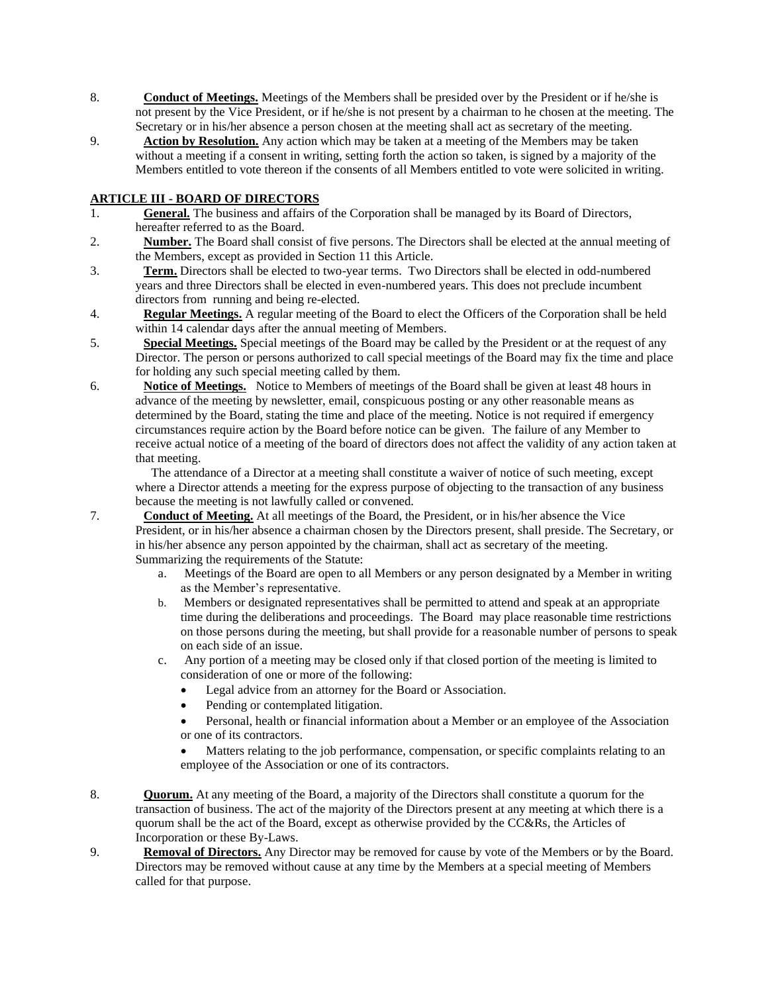- 8. **Conduct of Meetings.** Meetings of the Members shall be presided over by the President or if he/she is not present by the Vice President, or if he/she is not present by a chairman to he chosen at the meeting. The Secretary or in his/her absence a person chosen at the meeting shall act as secretary of the meeting.
- 9. **Action by Resolution.** Any action which may be taken at a meeting of the Members may be taken without a meeting if a consent in writing, setting forth the action so taken, is signed by a majority of the Members entitled to vote thereon if the consents of all Members entitled to vote were solicited in writing.

## **ARTICLE III - BOARD OF DIRECTORS**

- 1. **General.** The business and affairs of the Corporation shall be managed by its Board of Directors, hereafter referred to as the Board.
- 2. **Number.** The Board shall consist of five persons. The Directors shall be elected at the annual meeting of the Members, except as provided in Section 11 this Article.
- 3. **Term.** Directors shall be elected to two-year terms. Two Directors shall be elected in odd-numbered years and three Directors shall be elected in even-numbered years. This does not preclude incumbent directors from running and being re-elected.
- 4. **Regular Meetings.** A regular meeting of the Board to elect the Officers of the Corporation shall be held within 14 calendar days after the annual meeting of Members.
- 5. **Special Meetings.** Special meetings of the Board may be called by the President or at the request of any Director. The person or persons authorized to call special meetings of the Board may fix the time and place for holding any such special meeting called by them.
- 6. **Notice of Meetings.** Notice to Members of meetings of the Board shall be given at least 48 hours in advance of the meeting by newsletter, email, conspicuous posting or any other reasonable means as determined by the Board, stating the time and place of the meeting. Notice is not required if emergency circumstances require action by the Board before notice can be given. The failure of any Member to receive actual notice of a meeting of the board of directors does not affect the validity of any action taken at that meeting.

 The attendance of a Director at a meeting shall constitute a waiver of notice of such meeting, except where a Director attends a meeting for the express purpose of objecting to the transaction of any business because the meeting is not lawfully called or convened.

- 7. **Conduct of Meeting.** At all meetings of the Board, the President, or in his/her absence the Vice President, or in his/her absence a chairman chosen by the Directors present, shall preside. The Secretary, or in his/her absence any person appointed by the chairman, shall act as secretary of the meeting. Summarizing the requirements of the Statute:
	- a. Meetings of the Board are open to all Members or any person designated by a Member in writing as the Member's representative.
	- b. Members or designated representatives shall be permitted to attend and speak at an appropriate time during the deliberations and proceedings. The Board may place reasonable time restrictions on those persons during the meeting, but shall provide for a reasonable number of persons to speak on each side of an issue.
	- c. Any portion of a meeting may be closed only if that closed portion of the meeting is limited to consideration of one or more of the following:
		- Legal advice from an attorney for the Board or Association.
		- Pending or contemplated litigation.
		- Personal, health or financial information about a Member or an employee of the Association or one of its contractors.
		- Matters relating to the job performance, compensation, or specific complaints relating to an employee of the Association or one of its contractors.
- 8. **Quorum.** At any meeting of the Board, a majority of the Directors shall constitute a quorum for the transaction of business. The act of the majority of the Directors present at any meeting at which there is a quorum shall be the act of the Board, except as otherwise provided by the CC&Rs, the Articles of Incorporation or these By-Laws.
- 9. **Removal of Directors.** Any Director may be removed for cause by vote of the Members or by the Board. Directors may be removed without cause at any time by the Members at a special meeting of Members called for that purpose.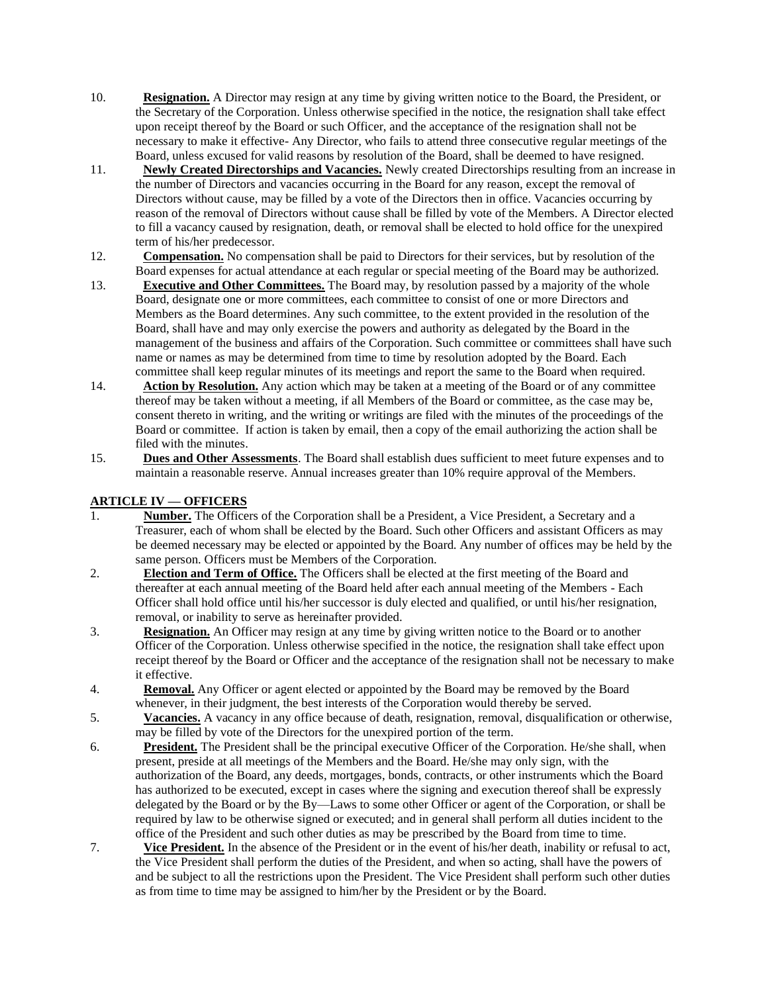- 10. **Resignation.** A Director may resign at any time by giving written notice to the Board, the President, or the Secretary of the Corporation. Unless otherwise specified in the notice, the resignation shall take effect upon receipt thereof by the Board or such Officer, and the acceptance of the resignation shall not be necessary to make it effective- Any Director, who fails to attend three consecutive regular meetings of the Board, unless excused for valid reasons by resolution of the Board, shall be deemed to have resigned.
- 11. **Newly Created Directorships and Vacancies.** Newly created Directorships resulting from an increase in the number of Directors and vacancies occurring in the Board for any reason, except the removal of Directors without cause, may be filled by a vote of the Directors then in office. Vacancies occurring by reason of the removal of Directors without cause shall be filled by vote of the Members. A Director elected to fill a vacancy caused by resignation, death, or removal shall be elected to hold office for the unexpired term of his/her predecessor.
- 12. **Compensation.** No compensation shall be paid to Directors for their services, but by resolution of the Board expenses for actual attendance at each regular or special meeting of the Board may be authorized.
- 13. **Executive and Other Committees.** The Board may, by resolution passed by a majority of the whole Board, designate one or more committees, each committee to consist of one or more Directors and Members as the Board determines. Any such committee, to the extent provided in the resolution of the Board, shall have and may only exercise the powers and authority as delegated by the Board in the management of the business and affairs of the Corporation. Such committee or committees shall have such name or names as may be determined from time to time by resolution adopted by the Board. Each committee shall keep regular minutes of its meetings and report the same to the Board when required.
- 14. **Action by Resolution.** Any action which may be taken at a meeting of the Board or of any committee thereof may be taken without a meeting, if all Members of the Board or committee, as the case may be, consent thereto in writing, and the writing or writings are filed with the minutes of the proceedings of the Board or committee. If action is taken by email, then a copy of the email authorizing the action shall be filed with the minutes.
- 15. **Dues and Other Assessments**. The Board shall establish dues sufficient to meet future expenses and to maintain a reasonable reserve. Annual increases greater than 10% require approval of the Members.

#### **ARTICLE IV — OFFICERS**

- 1. **Number.** The Officers of the Corporation shall be a President, a Vice President, a Secretary and a Treasurer, each of whom shall be elected by the Board. Such other Officers and assistant Officers as may be deemed necessary may be elected or appointed by the Board. Any number of offices may be held by the same person. Officers must be Members of the Corporation.
- 2. **Election and Term of Office.** The Officers shall be elected at the first meeting of the Board and thereafter at each annual meeting of the Board held after each annual meeting of the Members - Each Officer shall hold office until his/her successor is duly elected and qualified, or until his/her resignation, removal, or inability to serve as hereinafter provided.
- 3. **Resignation.** An Officer may resign at any time by giving written notice to the Board or to another Officer of the Corporation. Unless otherwise specified in the notice, the resignation shall take effect upon receipt thereof by the Board or Officer and the acceptance of the resignation shall not be necessary to make it effective.
- 4. **Removal.** Any Officer or agent elected or appointed by the Board may be removed by the Board whenever, in their judgment, the best interests of the Corporation would thereby be served.
- 5. **Vacancies.** A vacancy in any office because of death, resignation, removal, disqualification or otherwise, may be filled by vote of the Directors for the unexpired portion of the term.
- 6. **President.** The President shall be the principal executive Officer of the Corporation. He/she shall, when present, preside at all meetings of the Members and the Board. He/she may only sign, with the authorization of the Board, any deeds, mortgages, bonds, contracts, or other instruments which the Board has authorized to be executed, except in cases where the signing and execution thereof shall be expressly delegated by the Board or by the By—Laws to some other Officer or agent of the Corporation, or shall be required by law to be otherwise signed or executed; and in general shall perform all duties incident to the office of the President and such other duties as may be prescribed by the Board from time to time.
- 7. **Vice President.** In the absence of the President or in the event of his/her death, inability or refusal to act, the Vice President shall perform the duties of the President, and when so acting, shall have the powers of and be subject to all the restrictions upon the President. The Vice President shall perform such other duties as from time to time may be assigned to him/her by the President or by the Board.